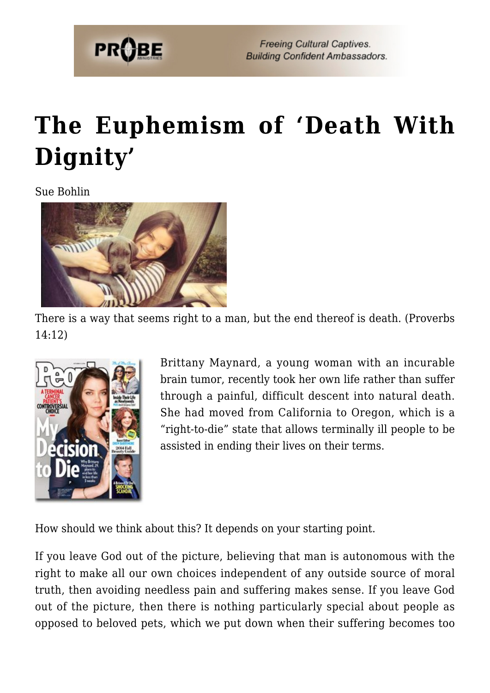

## **[The Euphemism of 'Death With](https://probe.org/the-euphemism-of-death-with-dignity/) [Dignity'](https://probe.org/the-euphemism-of-death-with-dignity/)**

Sue Bohlin



There is a way that seems right to a man, but the end thereof is death. (Proverbs 14:12)



Brittany Maynard, a young woman with an incurable brain tumor, recently took her own life rather than suffer through a painful, difficult descent into natural death. She had moved from California to Oregon, which is a "right-to-die" state that allows terminally ill people to be assisted in ending their lives on their terms.

How should we think about this? It depends on your starting point.

If you leave God out of the picture, believing that man is autonomous with the right to make all our own choices independent of any outside source of moral truth, then avoiding needless pain and suffering makes sense. If you leave God out of the picture, then there is nothing particularly special about people as opposed to beloved pets, which we put down when their suffering becomes too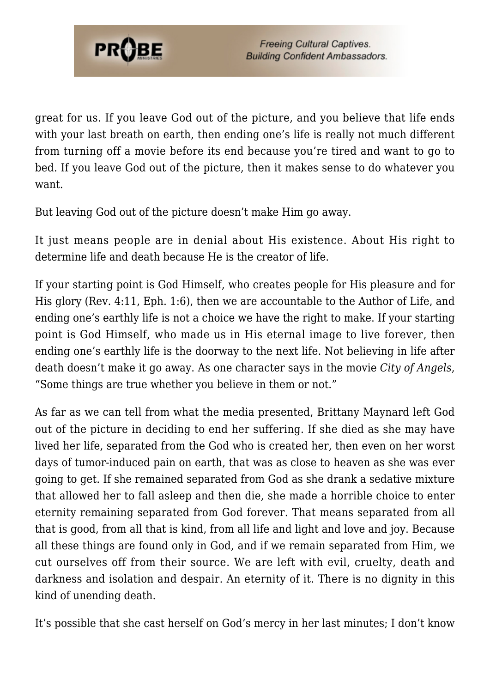

great for us. If you leave God out of the picture, and you believe that life ends with your last breath on earth, then ending one's life is really not much different from turning off a movie before its end because you're tired and want to go to bed. If you leave God out of the picture, then it makes sense to do whatever you want.

But leaving God out of the picture doesn't make Him go away.

It just means people are in denial about His existence. About His right to determine life and death because He is the creator of life.

If your starting point is God Himself, who creates people for His pleasure and for His glory (Rev. 4:11, Eph. 1:6), then we are accountable to the Author of Life, and ending one's earthly life is not a choice we have the right to make. If your starting point is God Himself, who made us in His eternal image to live forever, then ending one's earthly life is the doorway to the next life. Not believing in life after death doesn't make it go away. As one character says in the movie *City of Angels*, "Some things are true whether you believe in them or not."

As far as we can tell from what the media presented, Brittany Maynard left God out of the picture in deciding to end her suffering. If she died as she may have lived her life, separated from the God who is created her, then even on her worst days of tumor-induced pain on earth, that was as close to heaven as she was ever going to get. If she remained separated from God as she drank a sedative mixture that allowed her to fall asleep and then die, she made a horrible choice to enter eternity remaining separated from God forever. That means separated from all that is good, from all that is kind, from all life and light and love and joy. Because all these things are found only in God, and if we remain separated from Him, we cut ourselves off from their source. We are left with evil, cruelty, death and darkness and isolation and despair. An eternity of it. There is no dignity in this kind of unending death.

It's possible that she cast herself on God's mercy in her last minutes; I don't know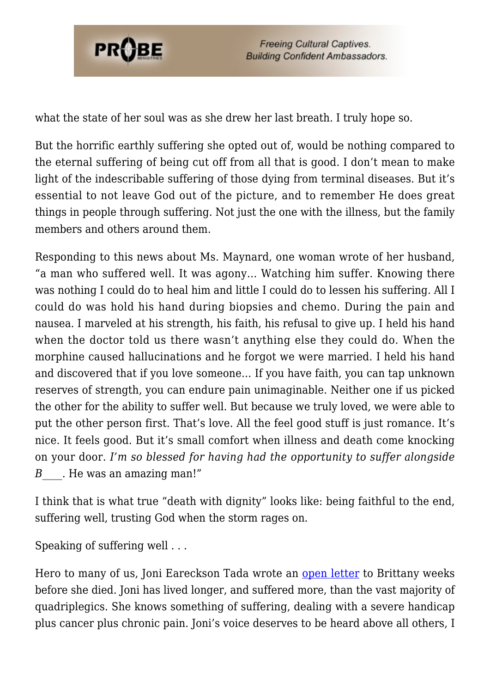

**Freeing Cultural Captives. Building Confident Ambassadors.** 

what the state of her soul was as she drew her last breath. I truly hope so.

But the horrific earthly suffering she opted out of, would be nothing compared to the eternal suffering of being cut off from all that is good. I don't mean to make light of the indescribable suffering of those dying from terminal diseases. But it's essential to not leave God out of the picture, and to remember He does great things in people through suffering. Not just the one with the illness, but the family members and others around them.

Responding to this news about Ms. Maynard, one woman wrote of her husband, "a man who suffered well. It was agony… Watching him suffer. Knowing there was nothing I could do to heal him and little I could do to lessen his suffering. All I could do was hold his hand during biopsies and chemo. During the pain and nausea. I marveled at his strength, his faith, his refusal to give up. I held his hand when the doctor told us there wasn't anything else they could do. When the morphine caused hallucinations and he forgot we were married. I held his hand and discovered that if you love someone… If you have faith, you can tap unknown reserves of strength, you can endure pain unimaginable. Neither one if us picked the other for the ability to suffer well. But because we truly loved, we were able to put the other person first. That's love. All the feel good stuff is just romance. It's nice. It feels good. But it's small comfort when illness and death come knocking on your door. *I'm so blessed for having had the opportunity to suffer alongside B*. He was an amazing man!"

I think that is what true "death with dignity" looks like: being faithful to the end, suffering well, trusting God when the storm rages on.

Speaking of suffering well . . .

Hero to many of us, Joni Eareckson Tada wrote an [open letter](http://www.religionnews.com/2014/10/15/brittany-maynards-choice-die-personal-private/) to Brittany weeks before she died. Joni has lived longer, and suffered more, than the vast majority of quadriplegics. She knows something of suffering, dealing with a severe handicap plus cancer plus chronic pain. Joni's voice deserves to be heard above all others, I